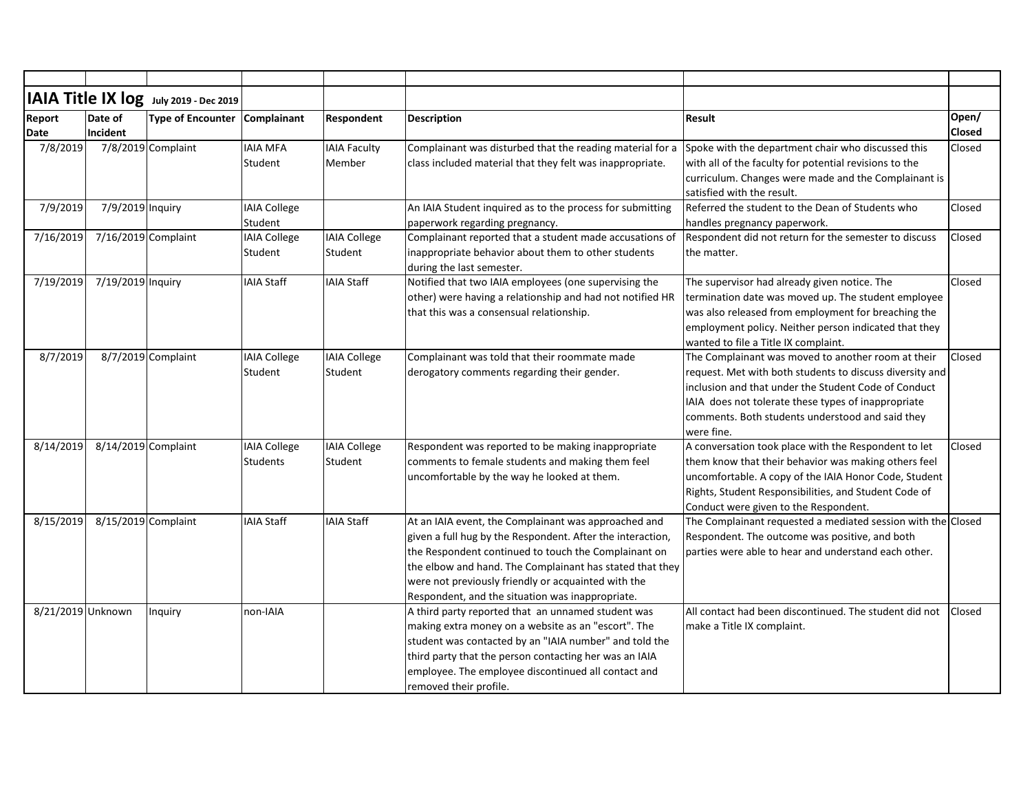| IAIA Title IX log July 2019 - Dec 2019<br>Report | Date of             | Type of Encounter Complainant |                                        | Respondent                     | <b>Description</b>                                                                                                                                                                                                                                                                                                                                | <b>Result</b>                                                                                                                                                                                                                                                                                   | Open/<br><b>Closed</b> |
|--------------------------------------------------|---------------------|-------------------------------|----------------------------------------|--------------------------------|---------------------------------------------------------------------------------------------------------------------------------------------------------------------------------------------------------------------------------------------------------------------------------------------------------------------------------------------------|-------------------------------------------------------------------------------------------------------------------------------------------------------------------------------------------------------------------------------------------------------------------------------------------------|------------------------|
| Date<br>7/8/2019                                 | Incident            | 7/8/2019 Complaint            | <b>IAIA MFA</b><br>Student             | <b>IAIA Faculty</b><br>Member  | Complainant was disturbed that the reading material for a<br>class included material that they felt was inappropriate.                                                                                                                                                                                                                            | Spoke with the department chair who discussed this<br>with all of the faculty for potential revisions to the                                                                                                                                                                                    | Closed                 |
|                                                  |                     |                               |                                        |                                |                                                                                                                                                                                                                                                                                                                                                   | curriculum. Changes were made and the Complainant is<br>satisfied with the result.                                                                                                                                                                                                              |                        |
| 7/9/2019                                         | 7/9/2019 Inquiry    |                               | <b>IAIA College</b><br>Student         |                                | An IAIA Student inquired as to the process for submitting<br>paperwork regarding pregnancy.                                                                                                                                                                                                                                                       | Referred the student to the Dean of Students who<br>handles pregnancy paperwork.                                                                                                                                                                                                                | Closed                 |
| 7/16/2019                                        | 7/16/2019 Complaint |                               | <b>IAIA College</b><br>Student         | IAIA College<br>Student        | Complainant reported that a student made accusations of<br>inappropriate behavior about them to other students<br>during the last semester.                                                                                                                                                                                                       | Respondent did not return for the semester to discuss<br>the matter.                                                                                                                                                                                                                            | Closed                 |
| 7/19/2019                                        | 7/19/2019 Inquiry   |                               | <b>IAIA Staff</b>                      | <b>IAIA Staff</b>              | Notified that two IAIA employees (one supervising the<br>other) were having a relationship and had not notified HR<br>that this was a consensual relationship.                                                                                                                                                                                    | The supervisor had already given notice. The<br>termination date was moved up. The student employee<br>was also released from employment for breaching the<br>employment policy. Neither person indicated that they<br>wanted to file a Title IX complaint.                                     | Closed                 |
| 8/7/2019                                         |                     | 8/7/2019 Complaint            | <b>IAIA College</b><br>Student         | IAIA College<br>Student        | Complainant was told that their roommate made<br>derogatory comments regarding their gender.                                                                                                                                                                                                                                                      | The Complainant was moved to another room at their<br>request. Met with both students to discuss diversity and<br>inclusion and that under the Student Code of Conduct<br>IAIA does not tolerate these types of inappropriate<br>comments. Both students understood and said they<br>were fine. | <b>Closed</b>          |
| 8/14/2019                                        | 8/14/2019 Complaint |                               | <b>IAIA College</b><br><b>Students</b> | <b>IAIA College</b><br>Student | Respondent was reported to be making inappropriate<br>comments to female students and making them feel<br>uncomfortable by the way he looked at them.                                                                                                                                                                                             | A conversation took place with the Respondent to let<br>them know that their behavior was making others feel<br>uncomfortable. A copy of the IAIA Honor Code, Student<br>Rights, Student Responsibilities, and Student Code of<br>Conduct were given to the Respondent.                         | Closed                 |
| 8/15/2019                                        | 8/15/2019 Complaint |                               | <b>IAIA Staff</b>                      | <b>IAIA Staff</b>              | At an IAIA event, the Complainant was approached and<br>given a full hug by the Respondent. After the interaction,<br>the Respondent continued to touch the Complainant on<br>the elbow and hand. The Complainant has stated that they<br>were not previously friendly or acquainted with the<br>Respondent, and the situation was inappropriate. | The Complainant requested a mediated session with the Closed<br>Respondent. The outcome was positive, and both<br>parties were able to hear and understand each other.                                                                                                                          |                        |
| 8/21/2019 Unknown                                |                     | Inquiry                       | non-IAIA                               |                                | A third party reported that an unnamed student was<br>making extra money on a website as an "escort". The<br>student was contacted by an "IAIA number" and told the<br>third party that the person contacting her was an IAIA<br>employee. The employee discontinued all contact and<br>removed their profile.                                    | All contact had been discontinued. The student did not<br>make a Title IX complaint.                                                                                                                                                                                                            | <b>Closed</b>          |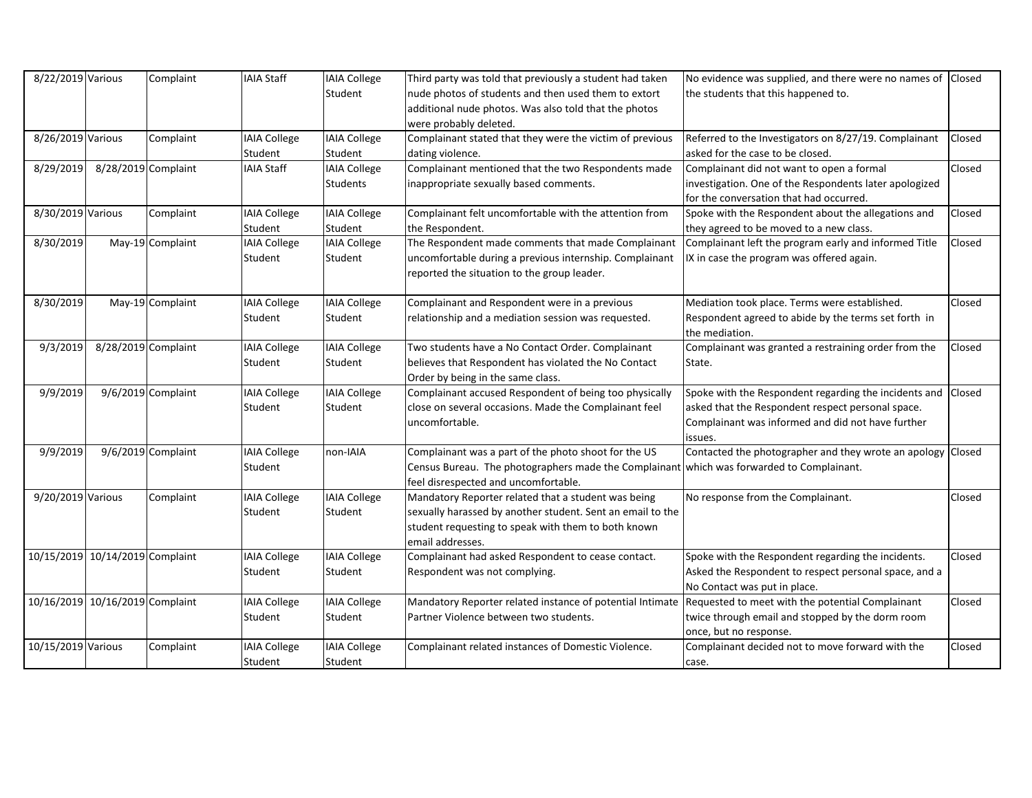| 8/22/2019 Various               |                     | Complaint            | <b>IAIA Staff</b>   | <b>IAIA College</b> | Third party was told that previously a student had taken                                  | No evidence was supplied, and there were no names of Closed |               |
|---------------------------------|---------------------|----------------------|---------------------|---------------------|-------------------------------------------------------------------------------------------|-------------------------------------------------------------|---------------|
|                                 |                     |                      |                     | Student             | nude photos of students and then used them to extort                                      | the students that this happened to.                         |               |
|                                 |                     |                      |                     |                     | additional nude photos. Was also told that the photos                                     |                                                             |               |
|                                 |                     |                      |                     |                     | were probably deleted.                                                                    |                                                             |               |
| 8/26/2019 Various               |                     | Complaint            | <b>IAIA College</b> | <b>IAIA College</b> | Complainant stated that they were the victim of previous                                  | Referred to the Investigators on 8/27/19. Complainant       | Closed        |
|                                 |                     |                      | Student             | Student             | dating violence.                                                                          | asked for the case to be closed.                            |               |
| 8/29/2019                       | 8/28/2019 Complaint |                      | <b>IAIA Staff</b>   | <b>IAIA College</b> | Complainant mentioned that the two Respondents made                                       | Complainant did not want to open a formal                   | Closed        |
|                                 |                     |                      |                     | <b>Students</b>     | inappropriate sexually based comments.                                                    | investigation. One of the Respondents later apologized      |               |
|                                 |                     |                      |                     |                     |                                                                                           | for the conversation that had occurred.                     |               |
| 8/30/2019 Various               |                     | Complaint            | <b>IAIA College</b> | <b>IAIA College</b> | Complainant felt uncomfortable with the attention from                                    | Spoke with the Respondent about the allegations and         | Closed        |
|                                 |                     |                      | Student             | Student             | the Respondent.                                                                           | they agreed to be moved to a new class.                     |               |
| 8/30/2019                       |                     | May-19 Complaint     | <b>IAIA College</b> | <b>IAIA College</b> | The Respondent made comments that made Complainant                                        | Complainant left the program early and informed Title       | Closed        |
|                                 |                     |                      | Student             | Student             | uncomfortable during a previous internship. Complainant                                   | IX in case the program was offered again.                   |               |
|                                 |                     |                      |                     |                     | reported the situation to the group leader.                                               |                                                             |               |
|                                 |                     |                      |                     |                     |                                                                                           |                                                             |               |
| 8/30/2019                       |                     | May-19 Complaint     | <b>IAIA College</b> | <b>IAIA College</b> | Complainant and Respondent were in a previous                                             | Mediation took place. Terms were established.               | Closed        |
|                                 |                     |                      | Student             | Student             | relationship and a mediation session was requested.                                       | Respondent agreed to abide by the terms set forth in        |               |
|                                 |                     |                      |                     |                     |                                                                                           | the mediation.                                              |               |
| 9/3/2019                        | 8/28/2019 Complaint |                      | <b>IAIA College</b> | <b>IAIA College</b> | Two students have a No Contact Order. Complainant                                         | Complainant was granted a restraining order from the        | Closed        |
|                                 |                     |                      | Student             | Student             | believes that Respondent has violated the No Contact                                      | State.                                                      |               |
|                                 |                     |                      |                     |                     | Order by being in the same class.                                                         |                                                             |               |
| 9/9/2019                        |                     | $9/6/2019$ Complaint | <b>IAIA College</b> | <b>IAIA College</b> | Complainant accused Respondent of being too physically                                    | Spoke with the Respondent regarding the incidents and       | <b>Closed</b> |
|                                 |                     |                      | Student             | Student             | close on several occasions. Made the Complainant feel                                     | asked that the Respondent respect personal space.           |               |
|                                 |                     |                      |                     |                     | uncomfortable.                                                                            | Complainant was informed and did not have further           |               |
|                                 |                     |                      |                     |                     |                                                                                           | issues.                                                     |               |
| 9/9/2019                        |                     | $9/6/2019$ Complaint | <b>IAIA College</b> | non-IAIA            | Complainant was a part of the photo shoot for the US                                      | Contacted the photographer and they wrote an apology Closed |               |
|                                 |                     |                      | Student             |                     | Census Bureau. The photographers made the Complainant which was forwarded to Complainant. |                                                             |               |
|                                 |                     |                      |                     |                     | feel disrespected and uncomfortable.                                                      |                                                             |               |
| 9/20/2019 Various               |                     | Complaint            | <b>IAIA College</b> | <b>IAIA College</b> | Mandatory Reporter related that a student was being                                       | No response from the Complainant.                           | Closed        |
|                                 |                     |                      | Student             | Student             | sexually harassed by another student. Sent an email to the                                |                                                             |               |
|                                 |                     |                      |                     |                     | student requesting to speak with them to both known                                       |                                                             |               |
|                                 |                     |                      |                     |                     | email addresses.                                                                          |                                                             |               |
| 10/15/2019 10/14/2019 Complaint |                     |                      | <b>IAIA College</b> | <b>IAIA College</b> | Complainant had asked Respondent to cease contact.                                        | Spoke with the Respondent regarding the incidents.          | Closed        |
|                                 |                     |                      | Student             | Student             | Respondent was not complying.                                                             | Asked the Respondent to respect personal space, and a       |               |
|                                 |                     |                      |                     |                     |                                                                                           | No Contact was put in place.                                |               |
| 10/16/2019 10/16/2019 Complaint |                     |                      | <b>IAIA College</b> | <b>IAIA College</b> | Mandatory Reporter related instance of potential Intimate                                 | Requested to meet with the potential Complainant            | Closed        |
|                                 |                     |                      | Student             | Student             | Partner Violence between two students.                                                    | twice through email and stopped by the dorm room            |               |
|                                 |                     |                      |                     |                     |                                                                                           | once, but no response.                                      |               |
| 10/15/2019 Various              |                     | Complaint            | <b>IAIA College</b> | <b>IAIA College</b> | Complainant related instances of Domestic Violence.                                       | Complainant decided not to move forward with the            | Closed        |
|                                 |                     |                      | Student             | Student             |                                                                                           | case.                                                       |               |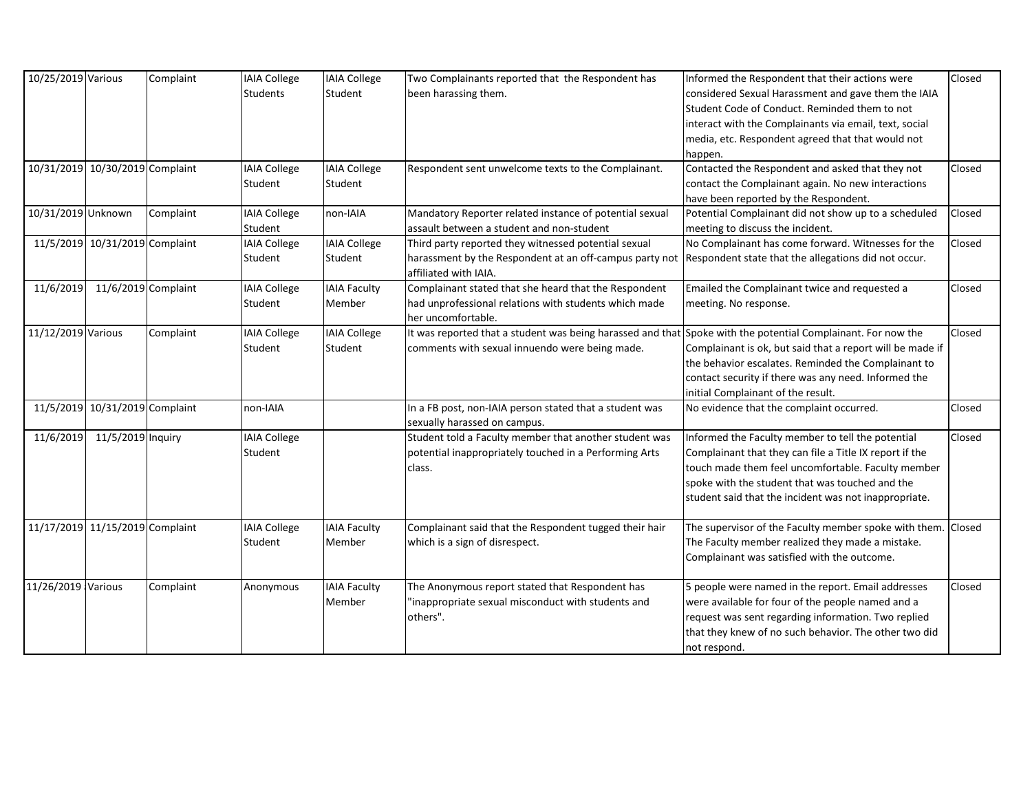| 10/25/2019 Various |                                 | Complaint | <b>IAIA College</b> | <b>IAIA College</b> | Two Complainants reported that the Respondent has                                                            | Informed the Respondent that their actions were              | Closed |
|--------------------|---------------------------------|-----------|---------------------|---------------------|--------------------------------------------------------------------------------------------------------------|--------------------------------------------------------------|--------|
|                    |                                 |           | <b>Students</b>     | Student             | been harassing them.                                                                                         | considered Sexual Harassment and gave them the IAIA          |        |
|                    |                                 |           |                     |                     |                                                                                                              | Student Code of Conduct. Reminded them to not                |        |
|                    |                                 |           |                     |                     |                                                                                                              | interact with the Complainants via email, text, social       |        |
|                    |                                 |           |                     |                     |                                                                                                              | media, etc. Respondent agreed that that would not            |        |
|                    |                                 |           |                     |                     |                                                                                                              | happen.                                                      |        |
|                    | 10/31/2019 10/30/2019 Complaint |           | <b>IAIA College</b> | <b>IAIA College</b> | Respondent sent unwelcome texts to the Complainant.                                                          | Contacted the Respondent and asked that they not             | Closed |
|                    |                                 |           | Student             | Student             |                                                                                                              | contact the Complainant again. No new interactions           |        |
|                    |                                 |           |                     |                     |                                                                                                              | have been reported by the Respondent.                        |        |
| 10/31/2019 Unknown |                                 | Complaint | <b>IAIA College</b> | non-IAIA            | Mandatory Reporter related instance of potential sexual                                                      | Potential Complainant did not show up to a scheduled         | Closed |
|                    |                                 |           | Student             |                     | assault between a student and non-student                                                                    | meeting to discuss the incident.                             |        |
|                    | 11/5/2019 10/31/2019 Complaint  |           | <b>IAIA College</b> | <b>IAIA College</b> | Third party reported they witnessed potential sexual                                                         | No Complainant has come forward. Witnesses for the           | Closed |
|                    |                                 |           | Student             | Student             | harassment by the Respondent at an off-campus party not                                                      | Respondent state that the allegations did not occur.         |        |
|                    |                                 |           |                     |                     | affiliated with IAIA.                                                                                        |                                                              |        |
| 11/6/2019          | $11/6/2019$ Complaint           |           | <b>IAIA College</b> | <b>IAIA Faculty</b> | Complainant stated that she heard that the Respondent                                                        | Emailed the Complainant twice and requested a                | Closed |
|                    |                                 |           | Student             | Member              | had unprofessional relations with students which made                                                        | meeting. No response.                                        |        |
|                    |                                 |           |                     |                     | her uncomfortable.                                                                                           |                                                              |        |
| 11/12/2019 Various |                                 | Complaint | <b>IAIA College</b> | <b>IAIA College</b> | It was reported that a student was being harassed and that Spoke with the potential Complainant. For now the |                                                              | Closed |
|                    |                                 |           | Student             | Student             | comments with sexual innuendo were being made.                                                               | Complainant is ok, but said that a report will be made if    |        |
|                    |                                 |           |                     |                     |                                                                                                              | the behavior escalates. Reminded the Complainant to          |        |
|                    |                                 |           |                     |                     |                                                                                                              | contact security if there was any need. Informed the         |        |
|                    |                                 |           |                     |                     |                                                                                                              | initial Complainant of the result.                           |        |
|                    | 11/5/2019 10/31/2019 Complaint  |           | non-IAIA            |                     | In a FB post, non-IAIA person stated that a student was                                                      | No evidence that the complaint occurred.                     | Closed |
|                    |                                 |           |                     |                     | sexually harassed on campus.                                                                                 |                                                              |        |
| 11/6/2019          | 11/5/2019 Inquiry               |           | <b>IAIA College</b> |                     | Student told a Faculty member that another student was                                                       | Informed the Faculty member to tell the potential            | Closed |
|                    |                                 |           | Student             |                     | potential inappropriately touched in a Performing Arts                                                       | Complainant that they can file a Title IX report if the      |        |
|                    |                                 |           |                     |                     | class.                                                                                                       | touch made them feel uncomfortable. Faculty member           |        |
|                    |                                 |           |                     |                     |                                                                                                              | spoke with the student that was touched and the              |        |
|                    |                                 |           |                     |                     |                                                                                                              | student said that the incident was not inappropriate.        |        |
|                    |                                 |           |                     |                     |                                                                                                              |                                                              |        |
|                    | 11/17/2019 11/15/2019 Complaint |           | <b>IAIA College</b> | <b>IAIA Faculty</b> | Complainant said that the Respondent tugged their hair                                                       | The supervisor of the Faculty member spoke with them. Closed |        |
|                    |                                 |           | Student             | Member              | which is a sign of disrespect.                                                                               | The Faculty member realized they made a mistake.             |        |
|                    |                                 |           |                     |                     |                                                                                                              | Complainant was satisfied with the outcome.                  |        |
|                    |                                 |           |                     |                     |                                                                                                              |                                                              |        |
| 11/26/2019 Various |                                 | Complaint | Anonymous           | <b>IAIA Faculty</b> | The Anonymous report stated that Respondent has                                                              | 5 people were named in the report. Email addresses           | Closed |
|                    |                                 |           |                     | Member              | 'inappropriate sexual misconduct with students and                                                           | were available for four of the people named and a            |        |
|                    |                                 |           |                     |                     | others".                                                                                                     | request was sent regarding information. Two replied          |        |
|                    |                                 |           |                     |                     |                                                                                                              | that they knew of no such behavior. The other two did        |        |
|                    |                                 |           |                     |                     |                                                                                                              | not respond.                                                 |        |